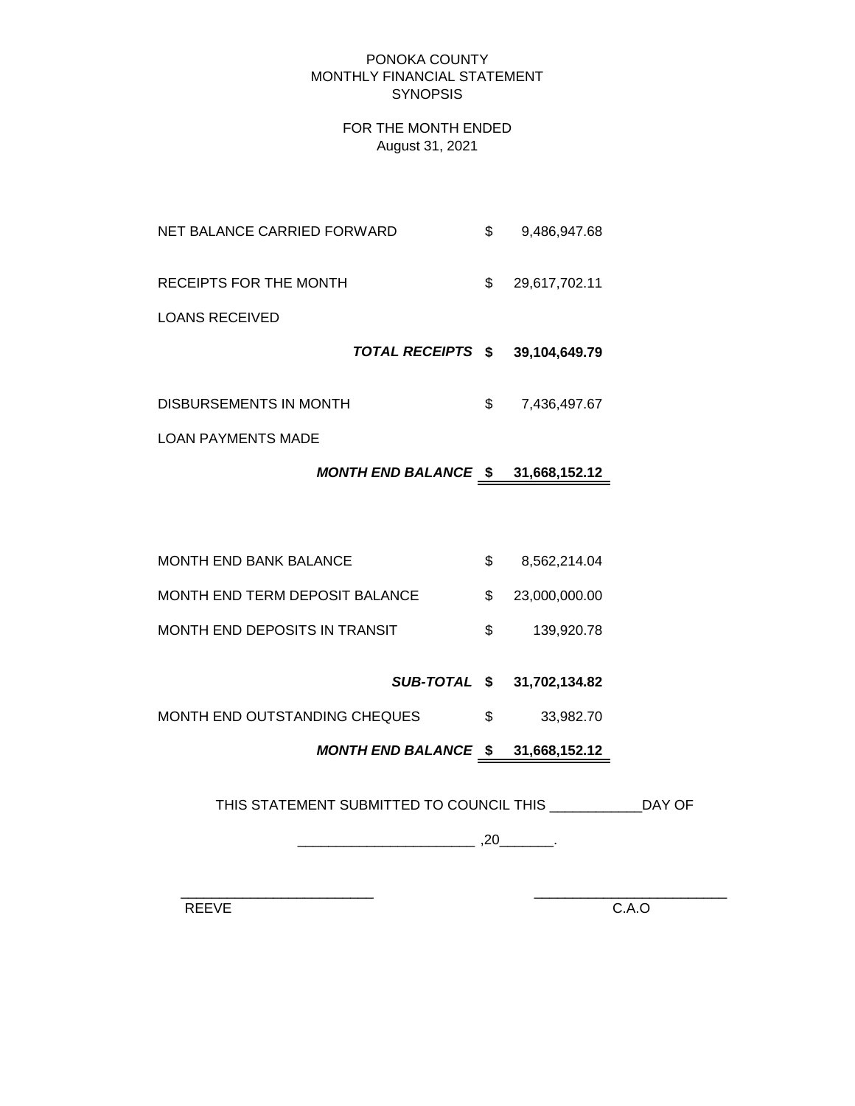#### PONOKA COUNTY MONTHLY FINANCIAL STATEMENT **SYNOPSIS**

### FOR THE MONTH ENDED August 31, 2021

- NET BALANCE CARRIED FORWARD  $$9,486,947.68$
- RECEIPTS FOR THE MONTH  $$29,617,702.11$

LOANS RECEIVED

- *TOTAL RECEIPTS* **\$ 39,104,649.79**
- DISBURSEMENTS IN MONTH  $$7,436,497.67$

LOAN PAYMENTS MADE

# *MONTH END BALANCE* **\$ 31,668,152.12**

MONTH END BANK BALANCE  $$8,562,214.04$ MONTH END TERM DEPOSIT BALANCE  $$23,000,000.00$ MONTH END DEPOSITS IN TRANSIT  $$39.920.78$ 

# *SUB-TOTAL* **\$ 31,702,134.82**

MONTH END OUTSTANDING CHEQUES  $$33,982.70$ 

# *MONTH END BALANCE* **\$ 31,668,152.12**

THIS STATEMENT SUBMITTED TO COUNCIL THIS \_\_\_\_\_\_\_\_\_\_\_\_DAY OF

\_\_\_\_\_\_\_\_\_\_\_\_\_\_\_\_\_\_\_\_\_\_\_ ,20\_\_\_\_\_\_\_.

 $\frac{1}{2}$  ,  $\frac{1}{2}$  ,  $\frac{1}{2}$  ,  $\frac{1}{2}$  ,  $\frac{1}{2}$  ,  $\frac{1}{2}$  ,  $\frac{1}{2}$  ,  $\frac{1}{2}$  ,  $\frac{1}{2}$  ,  $\frac{1}{2}$  ,  $\frac{1}{2}$  ,  $\frac{1}{2}$  ,  $\frac{1}{2}$  ,  $\frac{1}{2}$  ,  $\frac{1}{2}$  ,  $\frac{1}{2}$  ,  $\frac{1}{2}$  ,  $\frac{1}{2}$  ,  $\frac{1$ 

REEVE C.A.O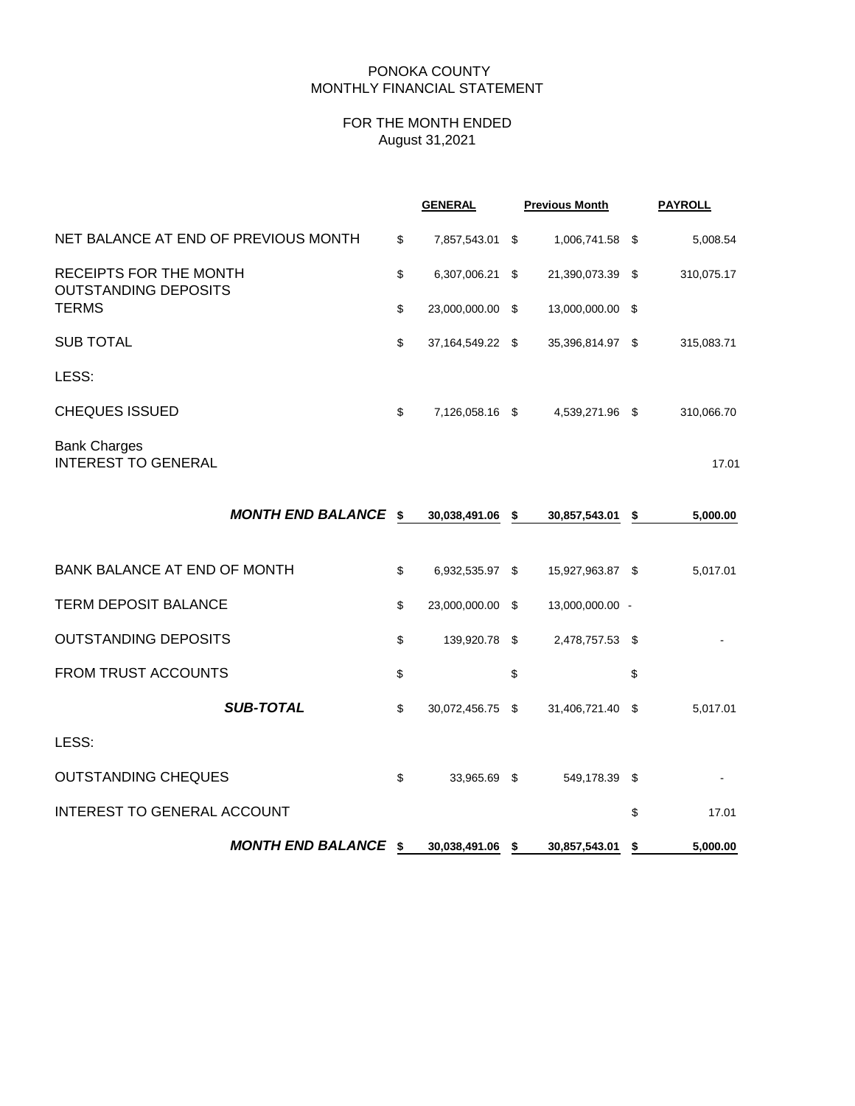#### PONOKA COUNTY MONTHLY FINANCIAL STATEMENT

### FOR THE MONTH ENDED August 31,2021

|                                                              |                           | <b>GENERAL</b>   |      | <b>Previous Month</b> | <b>PAYROLL</b> |            |
|--------------------------------------------------------------|---------------------------|------------------|------|-----------------------|----------------|------------|
| NET BALANCE AT END OF PREVIOUS MONTH                         | \$                        | 7,857,543.01 \$  |      | 1,006,741.58 \$       |                | 5,008.54   |
| <b>RECEIPTS FOR THE MONTH</b><br><b>OUTSTANDING DEPOSITS</b> | \$                        | 6,307,006.21     | - \$ | 21,390,073.39 \$      |                | 310,075.17 |
| <b>TERMS</b>                                                 | $\boldsymbol{\mathsf{S}}$ | 23,000,000.00 \$ |      | 13,000,000.00 \$      |                |            |
| <b>SUB TOTAL</b>                                             | \$                        | 37,164,549.22 \$ |      | 35,396,814.97 \$      |                | 315,083.71 |
| LESS:                                                        |                           |                  |      |                       |                |            |
| <b>CHEQUES ISSUED</b>                                        | \$                        | 7,126,058.16 \$  |      | 4,539,271.96 \$       |                | 310,066.70 |
| <b>Bank Charges</b><br><b>INTEREST TO GENERAL</b>            |                           |                  |      |                       |                | 17.01      |
| <b>MONTH END BALANCE \$</b>                                  |                           | 30,038,491.06 \$ |      | 30,857,543.01 \$      |                | 5,000.00   |
| BANK BALANCE AT END OF MONTH                                 | \$                        | 6,932,535.97 \$  |      | 15,927,963.87 \$      |                | 5,017.01   |
| <b>TERM DEPOSIT BALANCE</b>                                  | \$                        | 23,000,000.00 \$ |      | 13,000,000.00 -       |                |            |
| <b>OUTSTANDING DEPOSITS</b>                                  | \$                        | 139,920.78 \$    |      | 2,478,757.53 \$       |                |            |
| FROM TRUST ACCOUNTS                                          | \$                        |                  | \$   |                       | \$             |            |
| <b>SUB-TOTAL</b>                                             | $\boldsymbol{\mathsf{S}}$ | 30,072,456.75 \$ |      | 31,406,721.40 \$      |                | 5,017.01   |
| LESS:                                                        |                           |                  |      |                       |                |            |
| <b>OUTSTANDING CHEQUES</b>                                   | \$                        | 33,965.69 \$     |      | 549,178.39            | - \$           |            |
| INTEREST TO GENERAL ACCOUNT                                  |                           |                  |      |                       | \$             | 17.01      |
| <b>MONTH END BALANCE \$</b>                                  |                           | 30,038,491.06 \$ |      | 30,857,543.01         | - \$           | 5,000.00   |